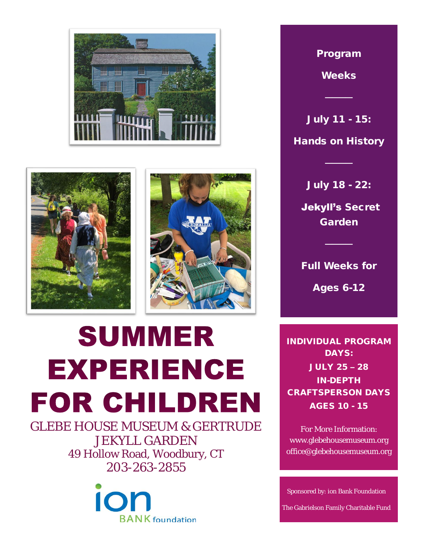





## **SUMMER EXPERIENCE FOR CHILDREN**

GLEBE HOUSE MUSEUM & GERTRUDE JEKYLL GARDEN 49 Hollow Road, Woodbury, CT 203-263-2855



Program

Weeks

───────────────────<br>───────────────

July 11 - 15: Hands on History

July 18 - 22:

────

Jekyll's Secret Garden

Full Weeks for

────

Ages 6-12

INDIVIDUAL PROGRAM DAYS: JULY 25 – 28 IN-DEPTH CRAFTSPERSON DAYS AGES 10 - 15

For More Information: www.glebehousemuseum.org office@glebehousemuseum.org

Sponsored by: ion Bank Foundation

The Gabrielson Family Charitable Fund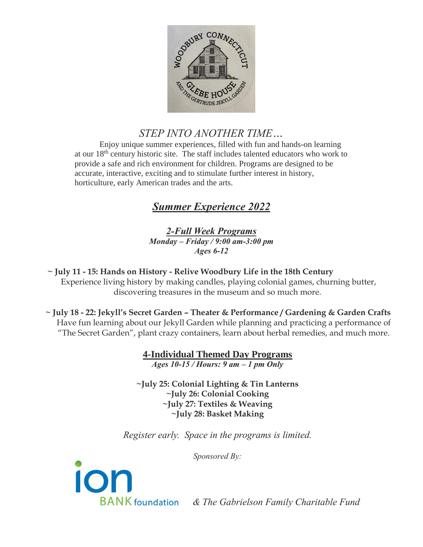

## *STEP INTO ANOTHER TIME…*

Enjoy unique summer experiences, filled with fun and hands-on learning at our 18th century historic site. The staff includes talented educators who work to provide a safe and rich environment for children. Programs are designed to be accurate, interactive, exciting and to stimulate further interest in history, horticulture, early American trades and the arts.

## *Summer Experience 2022*

*2-Full Week Programs Monday – Friday / 9:00 am-3:00 pm Ages 6-12*

 **~ July 11 - 15: Hands on History - Relive Woodbury Life in the 18th Century**  Experience living history by making candles, playing colonial games, churning butter, discovering treasures in the museum and so much more.

 **~ July 18 - 22: Jekyll's Secret Garden – Theater & Performance / Gardening & Garden Crafts**  Have fun learning about our Jekyll Garden while planning and practicing a performance of "The Secret Garden", plant crazy containers, learn about herbal remedies, and much more.

> **4-Individual Themed Day Programs** *Ages 10-15 / Hours: 9 am – 1 pm Only*

**~July 25: Colonial Lighting & Tin Lanterns ~July 26: Colonial Cooking ~July 27: Textiles & Weaving ~July 28: Basket Making**

*Register early. Space in the programs is limited.*

*Sponsored By:*



 *& The Gabrielson Family Charitable Fund*